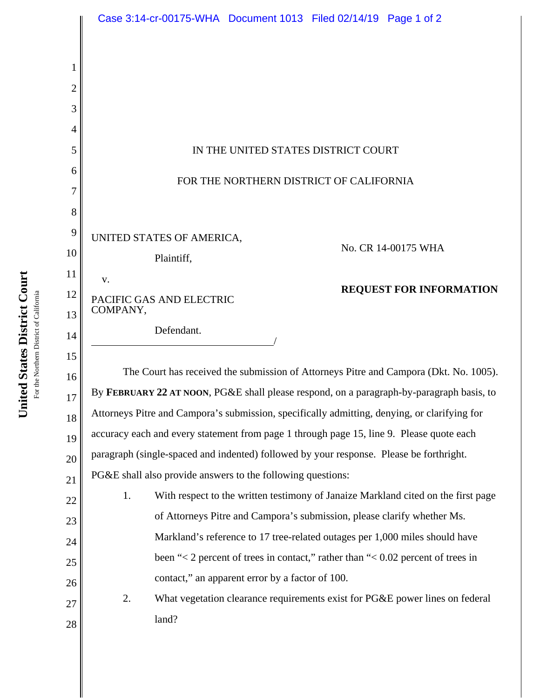|        | Case 3:14-cr-00175-WHA  Document 1013  Filed 02/14/19  Page 1 of 2                                                                   |  |  |
|--------|--------------------------------------------------------------------------------------------------------------------------------------|--|--|
|        |                                                                                                                                      |  |  |
|        |                                                                                                                                      |  |  |
|        |                                                                                                                                      |  |  |
| 3      |                                                                                                                                      |  |  |
| 4      |                                                                                                                                      |  |  |
| 5      | IN THE UNITED STATES DISTRICT COURT                                                                                                  |  |  |
| 6      | FOR THE NORTHERN DISTRICT OF CALIFORNIA                                                                                              |  |  |
| 7      |                                                                                                                                      |  |  |
| 8<br>9 |                                                                                                                                      |  |  |
| 10     | UNITED STATES OF AMERICA,<br>No. CR 14-00175 WHA                                                                                     |  |  |
| 11     | Plaintiff,                                                                                                                           |  |  |
| 12     | V.<br><b>REQUEST FOR INFORMATION</b>                                                                                                 |  |  |
| 13     | PACIFIC GAS AND ELECTRIC<br>COMPANY,                                                                                                 |  |  |
| 14     | Defendant.                                                                                                                           |  |  |
| 15     |                                                                                                                                      |  |  |
| 16     | The Court has received the submission of Attorneys Pitre and Campora (Dkt. No. 1005).                                                |  |  |
| 17     | By FEBRUARY 22 AT NOON, PG&E shall please respond, on a paragraph-by-paragraph basis, to                                             |  |  |
| 18     | Attorneys Pitre and Campora's submission, specifically admitting, denying, or clarifying for                                         |  |  |
| 19     | accuracy each and every statement from page 1 through page 15, line 9. Please quote each                                             |  |  |
| 20     | paragraph (single-spaced and indented) followed by your response. Please be forthright.                                              |  |  |
| 21     | PG&E shall also provide answers to the following questions:                                                                          |  |  |
| 22     | With respect to the written testimony of Janaize Markland cited on the first page<br>1.                                              |  |  |
| 23     | of Attorneys Pitre and Campora's submission, please clarify whether Ms.                                                              |  |  |
| 24     | Markland's reference to 17 tree-related outages per 1,000 miles should have                                                          |  |  |
| 25     | been "< 2 percent of trees in contact," rather than "< $0.02$ percent of trees in<br>contact," an apparent error by a factor of 100. |  |  |
| 26     | 2.<br>What vegetation clearance requirements exist for PG&E power lines on federal                                                   |  |  |
| 27     | land?                                                                                                                                |  |  |
| 28     |                                                                                                                                      |  |  |

United States District Court **United States District Court** For the Northern District of California For the Northern District of California